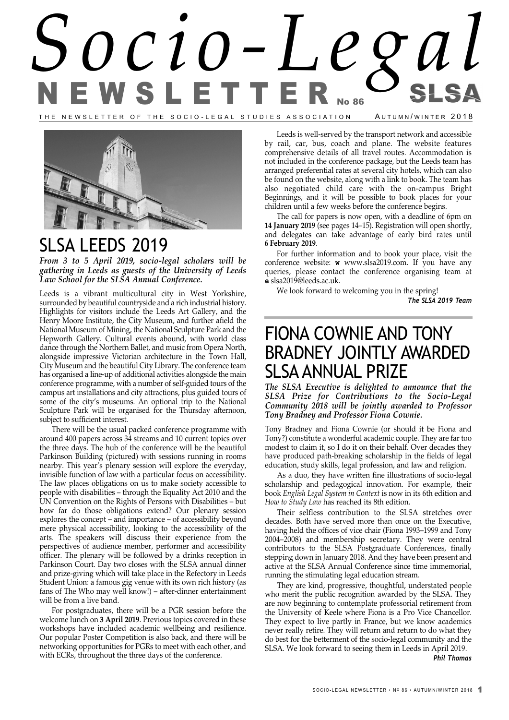# *<i>O*  $C$  *l*  $O$ N E W S L E T T E R NEWSLETTER OF THE SOCIO-LEGAL STUDIES ASSOCIATION AUTUMN/WINTER 2018 No 86

## EEDS 2019

*From 3 to 5 April 2019, socio-legal scholars will be gathering in Leeds as guests of the University of Leeds Law School for the SLSA Annual Conference.*

Leeds is a vibrant multicultural city in West Yorkshire, surrounded by beautiful countryside and a rich industrial history. Highlights for visitors include the Leeds Art Gallery, and the Henry Moore Institute, the City Museum, and further afield the National Museum of Mining, the National Sculpture Park and the Hepworth Gallery. Cultural events abound, with world class dance through the Northern Ballet, and music from Opera North, alongside impressive Victorian architecture in the Town Hall, City Museum and the beautiful City Library. The conference team has organised a line-up of additional activities alongside the main conference programme, with a number of self-guided tours of the campus art installations and city attractions, plus guided tours of some of the city's museums. An optional trip to the National Sculpture Park will be organised for the Thursday afternoon, subject to sufficient interest.

There will be the usual packed conference programme with around 400 papers across 34 streams and 10 current topics over the three days. The hub of the conference will be the beautiful Parkinson Building (pictured) with sessions running in rooms nearby. This year's plenary session will explore the everyday, invisible function of law with a particular focus on accessibility. The law places obligations on us to make society accessible to people with disabilities – through the Equality Act 2010 and the UN Convention on the Rights of Persons with Disabilities – but how far do those obligations extend? Our plenary session explores the concept – and importance – of accessibility beyond mere physical accessibility, looking to the accessibility of the arts. The speakers will discuss their experience from the perspectives of audience member, performer and accessibility officer. The plenary will be followed by a drinks reception in Parkinson Court. Day two closes with the SLSA annual dinner and prize-giving which will take place in the Refectory in Leeds Student Union: a famous gig venue with its own rich history (as fans of The Who may well know!) – after-dinner entertainment will be from a live band.

For postgraduates, there will be a PGR session before the welcome lunch on **3 April 2019**. Previous topics covered in these workshops have included academic wellbeing and resilience. Our popular Poster Competition is also back, and there will be networking opportunities for PGRs to meet with each other, and with ECRs, throughout the three days of the conference.

Leeds is well-served by the transport network and accessible by rail, car, bus, coach and plane. The website features comprehensive details of all travel routes. Accommodation is not included in the conference package, but the Leeds team has arranged preferential rates at several city hotels, which can also be found on the website, along with a link to book. The team has also negotiated child care with the on-campus Bright Beginnings, and it will be possible to book places for your children until a few weeks before the conference begins.

The call for papers is now open, with a deadline of 6pm on **14 January 2019** (see pages 14–15). Registration will open shortly, and delegates can take advantage of early bird rates until **6 February 2019**.

For further information and to book your place, visit the conference website: **w** www.slsa2019.com. If you have any queries, please contact the conference organising team at **e** slsa2019@leeds.ac.uk.

We look forward to welcoming you in the spring!

*The SLSA 2019 Team*

## FionA Cownie And Tony BrAdney JoinTLy AwArded SLSA ANNUAL PRIZE

*The SLSA Executive is delighted to announce that the SLSA Prize for Contributions to the Socio-Legal Community 2018 will be jointly awarded to Professor Tony Bradney and Professor Fiona Cownie.*

Tony Bradney and Fiona Cownie (or should it be Fiona and Tony?) constitute a wonderful academic couple. They are far too modest to claim it, so I do it on their behalf. Over decades they have produced path-breaking scholarship in the fields of legal education, study skills, legal profession, and law and religion.

As a duo, they have written fine illustrations of socio-legal scholarship and pedagogical innovation. For example, their book *English Legal System in Context* is now in its 6th edition and *How to Study Law* has reached its 8th edition.

Their selfless contribution to the SLSA stretches over decades. Both have served more than once on the Executive, having held the offices of vice chair (Fiona 1993–1999 and Tony 2004–2008) and membership secretary. They were central contributors to the SLSA Postgraduate Conferences, finally stepping down in January 2018. And they have been present and active at the SLSA Annual Conference since time immemorial, running the stimulating legal education stream.

They are kind, progressive, thoughtful, understated people who merit the public recognition awarded by the SLSA. They are now beginning to contemplate professorial retirement from the University of Keele where Fiona is a Pro Vice Chancellor. They expect to live partly in France, but we know academics never really retire. They will return and return to do what they do best for the betterment of the socio-legal community and the SLSA. We look forward to seeing them in Leeds in April 2019.

*Phil Thomas*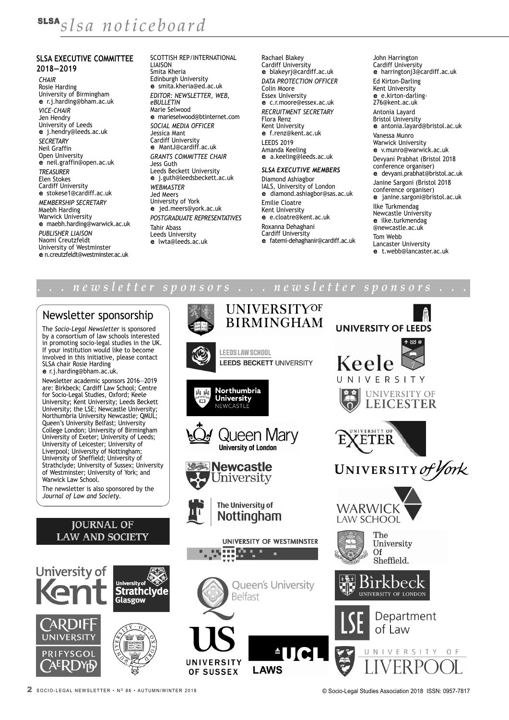#### **SLSA EXECUTIVE COMMITTEE 2018—2019**

*CHAIR* Rosie Harding University of Birmingham **<sup>e</sup>** r.j.harding@bham.ac.uk *VICE-CHAIR* Jen Hendry University of Leeds **<sup>e</sup>** j.hendry@leeds.ac.uk *SECRETARY* Neil Graffin **Open University <sup>e</sup>** neil.graffin@open.ac.uk *TREASURER* Elen Stokes Cardiff University **e** stokese1@cardiff.ac.uk *MEMBERSHIP SECRETARY* Maebh Harding Warwick University **<sup>e</sup>** maebh.harding@warwick.ac.uk *PUBLISHER LIAISON* Naomi Creutzfeldt University of Westminster **e** n.creutzfeldt@westminster.ac.uk

SCoTTiSH reP/inTernATionAL LiAiSon Smita Kheria Edinburgh University **e** smita.kheria@ed.ac.uk *EDITOR: NEWSLETTER, WEB, eBULLETIN* Marie Selwood **e** marieselwood@btinternet.com *SOCIAL MEDIA OFFICER* Jessica Mant Cardiff university **e** MantJ@cardiff.ac.uk *GRANTS COMMITTEE CHAIR* Jess Guth Leeds Beckett University **e** j.guth@leedsbeckett.ac.uk *WEBMASTER* Jed Meers University of York **e** jed.meers@york.ac.uk *POSTGRADUATE REPRESENTATIVES* Tahir Abass Leeds University **e** lwta@leeds.ac.uk

**Rachael Blakey** Cardiff University **e** blakeyrj@cardiff.ac.uk *DATA PROTECTION OFFICER* Colin Moore **Essex University e** c.r.moore@essex.ac.uk *RECRUITMENT SECRETARY* Flora Renz Kent University **e** f.renz@kent.ac.uk **LEEDS 2019** Amanda Keeling **e** a.keeling@leeds.ac.uk

#### *SLSA EXECUTIVE MEMBERS*

Diamond Ashiagbor iALS, university of London **e** diamond.ashiagbor@sas.ac.uk emilie Cloatre **Kent University e** e.cloatre@kent.ac.uk Roxanna Dehaghani Cardiff University **e** fatemi-dehaghanir@cardiff.ac.uk

John Harrington Cardiff University **e** harringtonj3@cardiff.ac.uk Ed Kirton-Darling Kent University **e** e.kirton-darling-276@kent.ac.uk

Antonia Layard **Bristol University e** antonia.layard@bristol.ac.uk Vanessa Munro warwick University **e** v.munro@warwick.ac.uk

Devyani Prabhat (Bristol 2018) conference organiser)

**e** devyani.prabhat@bristol.ac.uk Janine Sargoni (Bristol 2018 conference organiser)

**e** janine.sargoni@bristol.ac.uk ilke Turkmendag Newcastle University **e** ilke.turkmendag

@newcastle.ac.uk Tom webb

Lancaster University **e** t.webb@lancaster.ac.uk

## newsletter sponsors...newsletter sponsors..

Northumbria<br>University

NEWCASTLE

**素 Newcastle** University

The University of

**Belfast** 

Nottingham

UNIVERSITY OF WESTMINSTER

**Oueen's University** 

### newsletter sponsorship

The *Socio-Legal Newsletter* is sponsored by a consortium of law schools interested in promoting socio-legal studies in the uK. if your institution would like to become involved in this initiative, please contact SLSA chair Rosie Harding **e** r.j.harding@bham.ac.uk.

newsletter academic sponsors 2016—2019 are: Birkbeck; Cardiff Law School; Centre for Socio-Legal Studies, oxford; Keele University; Kent University; Leeds Beckett University; the LSE; Newcastle University; northumbria university newcastle; QMuL; Queen's University Belfast; University College London; University of Birmingham University of Exeter; University of Leeds; University of Leicester; University of Liverpool; University of Nottingham; university of Sheffield; university of Strathclyde; University of Sussex; University of westminster; university of york; and warwick Law School.

The newsletter is also sponsored by the *Journal of Law and Society*.

### **JOURNAL OF LAW AND SOCIETY**



UNIVERSITY **LAWS OF SUSSEX** 



UNIVERSITY of York





University





Department of Law

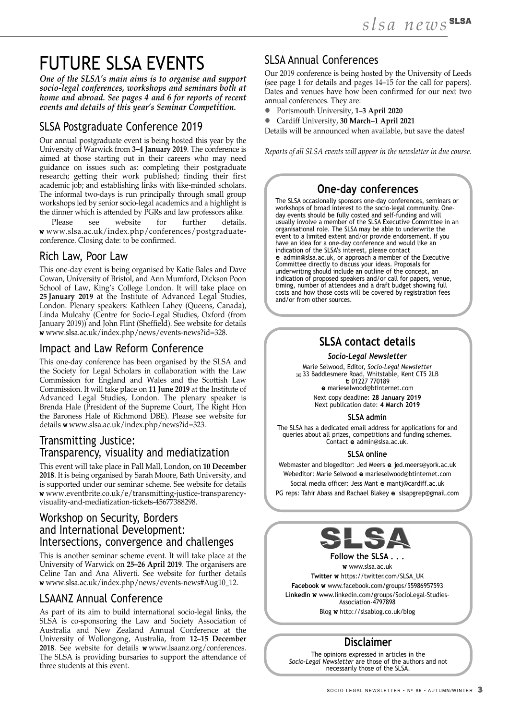## FuTure SLSA eVenTS

*One of the SLSA's main aims is to organise and support socio-legal conferences, workshops and seminars both at home and abroad. See pages 4 and 6 for reports of recent events and details of this year's Seminar Competition.*

## SLSA Postgraduate Conference 2019

Our annual postgraduate event is being hosted this year by the University of Warwick from **3–4 January 2019**. The conference is aimed at those starting out in their careers who may need guidance on issues such as: completing their postgraduate research; getting their work published; finding their first academic job; and establishing links with like-minded scholars. The informal two-days is run principally through small group workshops led by senior socio-legal academics and a highlight is the dinner which is attended by PGRs and law professors alike.

Please see website for further details. **w** www.slsa.ac.uk/index.php/conferences/postgraduateconference. Closing date: to be confirmed.

## Rich Law, Poor Law

This one-day event is being organised by Katie Bales and Dave Cowan, University of Bristol, and Ann Mumford, Dickson Poon School of Law, King's College London. It will take place on **25 January 2019** at the Institute of Advanced Legal Studies, London. Plenary speakers: Kathleen Lahey (Queens, Canada), Linda Mulcahy (Centre for Socio-Legal Studies, Oxford (from January 2019)) and John Flint (Sheffield). See website for details **w** www.slsa.ac.uk/index.php/news/events-news?id=328.

## Impact and Law Reform Conference

This one-day conference has been organised by the SLSA and the Society for Legal Scholars in collaboration with the Law Commission for England and Wales and the Scottish Law Commission. It will take place on **11 June 2019** at the Institute of Advanced Legal Studies, London. The plenary speaker is Brenda Hale (President of the Supreme Court, The Right Hon the Baroness Hale of Richmond DBE). Please see website for details **w** www.slsa.ac.uk/index.php/news?id=323.

## Transmitting Justice: Transparency, visuality and mediatization

This event will take place in Pall Mall, London, on **10 December 2018**. It is being organised by Sarah Moore, Bath University, and is supported under our seminar scheme. See website for details **w** www.eventbrite.co.uk/e/transmitting-justice-transparencyvisuality-and-mediatization-tickets-45677388298.

### workshop on Security, Borders and International Development: intersections, convergence and challenges

This is another seminar scheme event. It will take place at the University of Warwick on **25–26 April 2019**. The organisers are Celine Tan and Ana Aliverti. See website for further details **w** www.slsa.ac.uk/index.php/news/events-news#Aug10\_12.

## LSAAnz Annual Conference

As part of its aim to build international socio-legal links, the SLSA is co-sponsoring the Law and Society Association of Australia and New Zealand Annual Conference at the University of Wollongong, Australia, from **12–15 December 2018**. See website for details **w** www.lsaanz.org/conferences. The SLSA is providing bursaries to support the attendance of three students at this event.

## SLSA Annual Conferences

Our 2019 conference is being hosted by the University of Leeds (see page 1 for details and pages 14–15 for the call for papers). Dates and venues have how been confirmed for our next two annual conferences. They are:

- l Portsmouth University, **1–3 April 2020**
- l Cardiff University, **30 March–1 April 2021**

Details will be announced when available, but save the dates!

*Reports of all SLSA events will appear in the newsletter in due course.*

## **One-day conferences**

The SLSA occasionally sponsors one-day conferences, seminars or workshops of broad interest to the socio-legal community. Oneday events should be fully costed and self-funding and will usually involve a member of the SLSA executive Committee in an organisational role. The SLSA may be able to underwrite the event to a limited extent and/or provide endorsement. if you have an idea for a one-day conference and would like an indication of the SLSA's interest, please contact **e** admin@slsa.ac.uk, or approach a member of the executive Committee directly to discuss your ideas. Proposals for underwriting should include an outline of the concept, an indication of proposed speakers and/or call for papers, venue, timing, number of attendees and a draft budget showing full costs and how those costs will be covered by registration fees and/or from other sources.

## **SLSA contact details**

*Socio-Legal Newsletter*

Marie Selwood, editor, *Socio-Legal Newsletter* ) 33 Baddlesmere road, whitstable, Kent CT5 2LB **t** 01227 770189 **e** marieselwood@btinternet.com next copy deadline: **28 January 2019** next publication date: **4 March 2019**

#### **SLSA admin**

The SLSA has a dedicated email address for applications for and queries about all prizes, competitions and funding schemes. Contact **e** admin@slsa.ac.uk.

#### **SLSA online**

webmaster and blogeditor: Jed Meers **e** jed.meers@york.ac.uk webeditor: Marie Selwood **e** marieselwood@btinternet.com Social media officer: Jess Mant **e** mantj@cardiff.ac.uk PG reps: Tahir Abass and Rachael Blakey e slsapgrep@gmail.com



**Follow the SLSA . . .**

**w** www.slsa.ac.uk

**Twitter w** https://twitter.com/SLSA\_uK **Facebook w** www.facebook.com/groups/55986957593 **LinkedIn w** www.linkedin.com/groups/SocioLegal-Studies-Association-4797898

Blog **w** http://slsablog.co.uk/blog

## **Disclaimer**

The opinions expressed in articles in the *Socio-Legal Newsletter* are those of the authors and not necessarily those of the SLSA.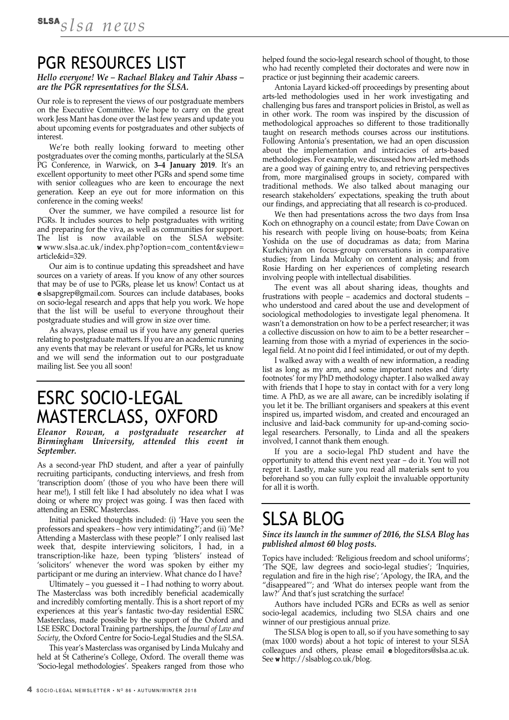## PGR RESOURCES LIST

#### *Hello everyone! We – Rachael Blakey and Tahir Abass – are the PGR representatives for the SLSA.*

Our role is to represent the views of our postgraduate members on the Executive Committee. We hope to carry on the great work Jess Mant has done over the last few years and update you about upcoming events for postgraduates and other subjects of interest.

We're both really looking forward to meeting other postgraduates over the coming months, particularly at the SLSA PG Conference, in Warwick, on **3–4 January 2019**. It's an excellent opportunity to meet other PGRs and spend some time with senior colleagues who are keen to encourage the next generation. Keep an eye out for more information on this conference in the coming weeks!

Over the summer, we have compiled a resource list for PGRs. It includes sources to help postgraduates with writing and preparing for the viva, as well as communities for support. The list is now available on the SLSA website: **w** www.slsa.ac.uk/index.php?option=com\_content&view= article&id=329.

Our aim is to continue updating this spreadsheet and have sources on a variety of areas. If you know of any other sources that may be of use to PGRs, please let us know! Contact us at **e** slsapgrep@gmail.com. Sources can include databases, books on socio-legal research and apps that help you work. We hope that the list will be useful to everyone throughout their postgraduate studies and will grow in size over time.

As always, please email us if you have any general queries relating to postgraduate matters. If you are an academic running any events that may be relevant or useful for PGRs, let us know and we will send the information out to our postgraduate mailing list. See you all soon!

## eSrC SoCio-LeGAL MASTerCLASS, oxFord

#### *Eleanor Rowan, a postgraduate researcher at Birmingham University, attended this event in September.*

As a second-year PhD student, and after a year of painfully recruiting participants, conducting interviews, and fresh from 'transcription doom' (those of you who have been there will hear me!), I still felt like I had absolutely no idea what I was doing or where my project was going. I was then faced with attending an ESRC Masterclass.

Initial panicked thoughts included: (i) 'Have you seen the professors and speakers – how very intimidating?'; and (ii) 'Me? Attending a Masterclass with these people?' I only realised last week that, despite interviewing solicitors, I had, in a transcription-like haze, been typing 'blisters' instead of 'solicitors' whenever the word was spoken by either my participant or me during an interview. What chance do I have?

Ultimately – you guessed it – I had nothing to worry about. The Masterclass was both incredibly beneficial academically and incredibly comforting mentally. This is a short report of my experiences at this year's fantastic two-day residential ESRC Masterclass, made possible by the support of the Oxford and LSE ESRC Doctoral Training partnerships, the *Journal of Law and Society*, the Oxford Centre for Socio-Legal Studies and the SLSA.

This year's Masterclass was organised by Linda Mulcahy and held at St Catherine's College, Oxford. The overall theme was 'Socio-legal methodologies'. Speakers ranged from those who helped found the socio-legal research school of thought, to those who had recently completed their doctorates and were now in practice or just beginning their academic careers.

Antonia Layard kicked-off proceedings by presenting about arts-led methodologies used in her work investigating and challenging bus fares and transport policies in Bristol, as well as in other work. The room was inspired by the discussion of methodological approaches so different to those traditionally taught on research methods courses across our institutions. Following Antonia's presentation, we had an open discussion about the implementation and intricacies of arts-based methodologies. For example, we discussed how art-led methods are a good way of gaining entry to, and retrieving perspectives from, more marginalised groups in society, compared with traditional methods. We also talked about managing our research stakeholders' expectations, speaking the truth about our findings, and appreciating that all research is co-produced.

We then had presentations across the two days from Insa Koch on ethnography on a council estate; from Dave Cowan on his research with people living on house-boats; from Keina Yoshida on the use of docudramas as data; from Marina Kurkchiyan on focus-group conversations in comparative studies; from Linda Mulcahy on content analysis; and from Rosie Harding on her experiences of completing research involving people with intellectual disabilities.

The event was all about sharing ideas, thoughts and frustrations with people – academics and doctoral students – who understood and cared about the use and development of sociological methodologies to investigate legal phenomena. It wasn't a demonstration on how to be a perfect researcher; it was a collective discussion on how to aim to be a better researcher – learning from those with a myriad of experiences in the sociolegal field. At no point did I feel intimidated, or out of my depth.

I walked away with a wealth of new information, a reading list as long as my arm, and some important notes and 'dirty footnotes' for my PhD methodology chapter. I also walked away with friends that I hope to stay in contact with for a very long time. A PhD, as we are all aware, can be incredibly isolating if you let it be. The brilliant organisers and speakers at this event inspired us, imparted wisdom, and created and encouraged an inclusive and laid-back community for up-and-coming sociolegal researchers. Personally, to Linda and all the speakers involved, I cannot thank them enough.

If you are a socio-legal PhD student and have the opportunity to attend this event next year – do it. You will not regret it. Lastly, make sure you read all materials sent to you beforehand so you can fully exploit the invaluable opportunity for all it is worth.

## SLSA BLoG

#### *Since its launch in the summer of 2016, the SLSA Blog has published almost 60 blog posts.*

Topics have included: 'Religious freedom and school uniforms'; 'The SQE, law degrees and socio-legal studies'; 'Inquiries, regulation and fire in the high rise'; 'Apology, the IRA, and the "disappeared"'; and 'What do intersex people want from the law?' And that's just scratching the surface!

Authors have included PGRs and ECRs as well as senior socio-legal academics, including two SLSA chairs and one winner of our prestigious annual prize.

The SLSA blog is open to all, so if you have something to say (max 1000 words) about a hot topic of interest to your SLSA colleagues and others, please email **e** blogeditors@slsa.ac.uk. See **w** http://slsablog.co.uk/blog.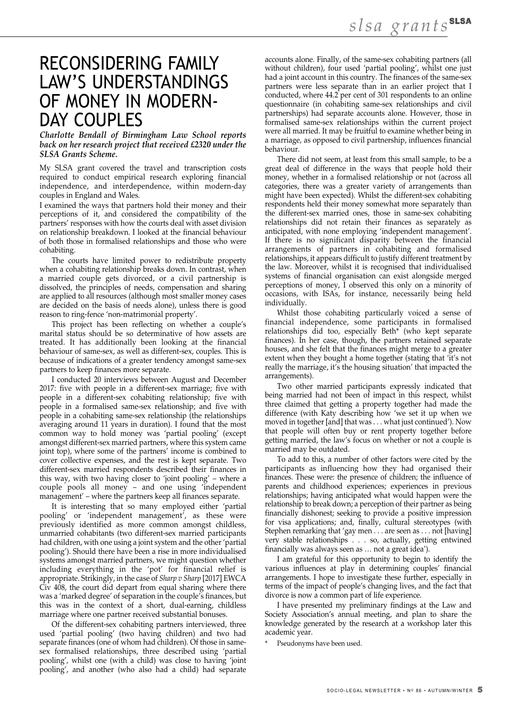## reConSiderinG FAMiLy LAw'S underSTAndinGS oF Money in Modern-DAY COUPLES

*Charlotte Bendall of Birmingham Law School reports back on her research project that received £2320 under the SLSA Grants Scheme.*

My SLSA grant covered the travel and transcription costs required to conduct empirical research exploring financial independence, and interdependence, within modern-day couples in England and Wales.

I examined the ways that partners hold their money and their perceptions of it, and considered the compatibility of the partners' responses with how the courts deal with asset division on relationship breakdown. I looked at the financial behaviour of both those in formalised relationships and those who were cohabiting.

The courts have limited power to redistribute property when a cohabiting relationship breaks down. In contrast, when a married couple gets divorced, or a civil partnership is dissolved, the principles of needs, compensation and sharing are applied to all resources (although most smaller money cases are decided on the basis of needs alone), unless there is good reason to ring-fence 'non-matrimonial property'.

This project has been reflecting on whether a couple's marital status should be so determinative of how assets are treated. It has additionally been looking at the financial behaviour of same-sex, as well as different-sex, couples. This is because of indications of a greater tendency amongst same-sex partners to keep finances more separate.

I conducted 20 interviews between August and December 2017: five with people in a different-sex marriage; five with people in a different-sex cohabiting relationship; five with people in a formalised same-sex relationship; and five with people in a cohabiting same-sex relationship (the relationships averaging around 11 years in duration). I found that the most common way to hold money was 'partial pooling' (except amongst different-sex married partners, where this system came joint top), where some of the partners' income is combined to cover collective expenses, and the rest is kept separate. Two different-sex married respondents described their finances in this way, with two having closer to 'joint pooling' – where a couple pools all money – and one using 'independent management' – where the partners keep all finances separate.

It is interesting that so many employed either 'partial pooling' or 'independent management', as these were previously identified as more common amongst childless, unmarried cohabitants (two different-sex married participants had children, with one using a joint system and the other 'partial pooling'). Should there have been a rise in more individualised systems amongst married partners, we might question whether including everything in the 'pot' for financial relief is appropriate. Strikingly, in the case of *Sharp v Sharp* [2017] EWCA Civ 408, the court did depart from equal sharing where there was a 'marked degree' of separation in the couple's finances, but this was in the context of a short, dual-earning, childless marriage where one partner received substantial bonuses.

Of the different-sex cohabiting partners interviewed, three used 'partial pooling' (two having children) and two had separate finances (one of whom had children). Of those in samesex formalised relationships, three described using 'partial pooling', whilst one (with a child) was close to having 'joint pooling', and another (who also had a child) had separate

accounts alone. Finally, of the same-sex cohabiting partners (all without children), four used 'partial pooling', whilst one just had a joint account in this country. The finances of the same-sex partners were less separate than in an earlier project that I conducted, where 44.2 per cent of 301 respondents to an online questionnaire (in cohabiting same-sex relationships and civil partnerships) had separate accounts alone. However, those in formalised same-sex relationships within the current project were all married. It may be fruitful to examine whether being in a marriage, as opposed to civil partnership, influences financial behaviour.

There did not seem, at least from this small sample, to be a great deal of difference in the ways that people hold their money, whether in a formalised relationship or not (across all categories, there was a greater variety of arrangements than might have been expected). Whilst the different-sex cohabiting respondents held their money somewhat more separately than the different-sex married ones, those in same-sex cohabiting relationships did not retain their finances as separately as anticipated, with none employing 'independent management'. If there is no significant disparity between the financial arrangements of partners in cohabiting and formalised relationships, it appears difficult to justify different treatment by the law. Moreover, whilst it is recognised that individualised systems of financial organisation can exist alongside merged perceptions of money, I observed this only on a minority of occasions, with ISAs, for instance, necessarily being held individually.

Whilst those cohabiting particularly voiced a sense of financial independence, some participants in formalised relationships did too, especially Beth\* (who kept separate finances). In her case, though, the partners retained separate houses, and she felt that the finances might merge to a greater extent when they bought a home together (stating that 'it's not really the marriage, it's the housing situation' that impacted the arrangements).

Two other married participants expressly indicated that being married had not been of impact in this respect, whilst three claimed that getting a property together had made the difference (with Katy describing how 'we set it up when we moved in together [and] that was . . . what just continued'). Now that people will often buy or rent property together before getting married, the law's focus on whether or not a couple is married may be outdated.

To add to this, a number of other factors were cited by the participants as influencing how they had organised their finances. These were: the presence of children; the influence of parents and childhood experiences; experiences in previous relationships; having anticipated what would happen were the relationship to break down; a perception of their partner as being financially dishonest; seeking to provide a positive impression for visa applications; and, finally, cultural stereotypes (with Stephen remarking that 'gay men . . . are seen as . . . not [having] very stable relationships . . . so, actually, getting entwined financially was always seen as … not a great idea').

I am grateful for this opportunity to begin to identify the various influences at play in determining couples' financial arrangements. I hope to investigate these further, especially in terms of the impact of people's changing lives, and the fact that divorce is now a common part of life experience.

I have presented my preliminary findings at the Law and Society Association's annual meeting, and plan to share the knowledge generated by the research at a workshop later this academic year.

Pseudonyms have been used.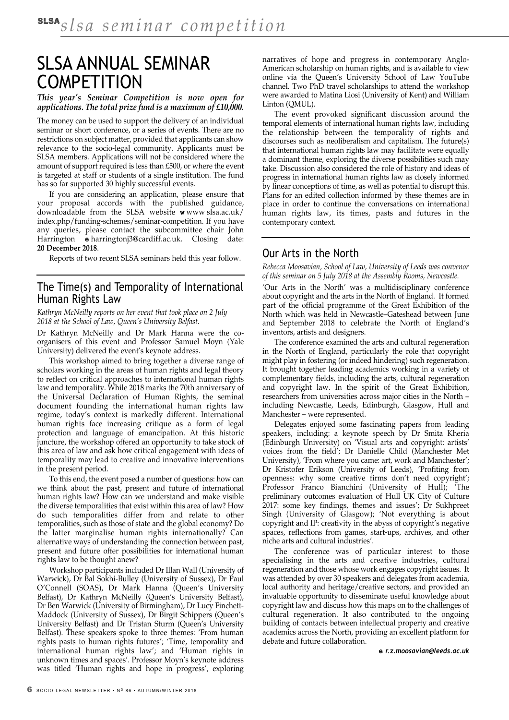## SLSA ANNUAL SEMINAR **COMPETITION**

#### *This year's Seminar Competition is now open for applications. The total prize fund is a maximum of £10,000.*

The money can be used to support the delivery of an individual seminar or short conference, or a series of events. There are no restrictions on subject matter, provided that applicants can show relevance to the socio-legal community. Applicants must be SLSA members. Applications will not be considered where the amount of support required is less than £500, or where the event is targeted at staff or students of a single institution. The fund has so far supported 30 highly successful events.

If you are considering an application, please ensure that your proposal accords with the published guidance, downloadable from the SLSA website **w** www slsa.ac.uk/ index.php/funding-schemes/seminar-competition. If you have any queries, please contact the subcommittee chair John Harrington **e** harringtonj3@cardiff.ac.uk. Closing date: **20 December 2018**.

Reports of two recent SLSA seminars held this year follow.

### The Time(s) and Temporality of international Human Rights Law

*Kathryn McNeilly reports on her event that took place on 2 July 2018 at the School of Law, Queen's University Belfast.*

Dr Kathryn McNeilly and Dr Mark Hanna were the coorganisers of this event and Professor Samuel Moyn (Yale University) delivered the event's keynote address.

This workshop aimed to bring together a diverse range of scholars working in the areas of human rights and legal theory to reflect on critical approaches to international human rights law and temporality. While 2018 marks the 70th anniversary of the Universal Declaration of Human Rights, the seminal document founding the international human rights law regime, today's context is markedly different. International human rights face increasing critique as a form of legal protection and language of emancipation. At this historic juncture, the workshop offered an opportunity to take stock of this area of law and ask how critical engagement with ideas of temporality may lead to creative and innovative interventions in the present period.

To this end, the event posed a number of questions: how can we think about the past, present and future of international human rights law? How can we understand and make visible the diverse temporalities that exist within this area of law? How do such temporalities differ from and relate to other temporalities, such as those of state and the global economy? Do the latter marginalise human rights internationally? Can alternative ways of understanding the connection between past, present and future offer possibilities for international human rights law to be thought anew?

Workshop participants included Dr Illan Wall (University of Warwick), Dr Bal Sokhi-Bulley (University of Sussex), Dr Paul O'Connell (SOAS), Dr Mark Hanna (Queen's University Belfast), Dr Kathryn McNeilly (Queen's University Belfast), Dr Ben Warwick (University of Birmingham), Dr Lucy Finchett-Maddock (University of Sussex), Dr Birgit Schippers (Queen's University Belfast) and Dr Tristan Sturm (Queen's University Belfast). These speakers spoke to three themes: 'From human rights pasts to human rights futures'; 'Time, temporality and international human rights law'; and 'Human rights in unknown times and spaces'. Professor Moyn's keynote address was titled 'Human rights and hope in progress', exploring

narratives of hope and progress in contemporary Anglo-American scholarship on human rights, and is available to view online via the Queen's University School of Law YouTube channel. Two PhD travel scholarships to attend the workshop were awarded to Matina Liosi (University of Kent) and William Linton (QMUL).

The event provoked significant discussion around the temporal elements of international human rights law, including the relationship between the temporality of rights and discourses such as neoliberalism and capitalism. The future(s) that international human rights law may facilitate were equally a dominant theme, exploring the diverse possibilities such may take. Discussion also considered the role of history and ideas of progress in international human rights law as closely informed by linear conceptions of time, as well as potential to disrupt this. Plans for an edited collection informed by these themes are in place in order to continue the conversations on international human rights law, its times, pasts and futures in the contemporary context.

### Our Arts in the North

*Rebecca Moosavian, School of Law, University of Leeds was convenor of this seminar on 5 July 2018 at the Assembly Rooms, Newcastle.*

'Our Arts in the North' was a multidisciplinary conference about copyright and the arts in the North of England. It formed part of the official programme of the Great Exhibition of the North which was held in Newcastle–Gateshead between June and September 2018 to celebrate the North of England's inventors, artists and designers.

The conference examined the arts and cultural regeneration in the North of England, particularly the role that copyright might play in fostering (or indeed hindering) such regeneration. It brought together leading academics working in a variety of complementary fields, including the arts, cultural regeneration and copyright law. In the spirit of the Great Exhibition, researchers from universities across major cities in the North – including Newcastle, Leeds, Edinburgh, Glasgow, Hull and Manchester – were represented.

Delegates enjoyed some fascinating papers from leading speakers, including: a keynote speech by Dr Smita Kheria (Edinburgh University) on 'Visual arts and copyright: artists' voices from the field'; Dr Danielle Child (Manchester Met University), 'From where you came: art, work and Manchester'; Dr Kristofer Erikson (University of Leeds), 'Profiting from openness: why some creative firms don't need copyright'; Professor Franco Bianchini (University of Hull); The preliminary outcomes evaluation of Hull UK City of Culture 2017: some key findings, themes and issues'; Dr Sukhpreet Singh (University of Glasgow); 'Not everything is about copyright and IP: creativity in the abyss of copyright's negative spaces, reflections from games, start-ups, archives, and other niche arts and cultural industries'.

The conference was of particular interest to those specialising in the arts and creative industries, cultural regeneration and those whose work engages copyright issues. It was attended by over 30 speakers and delegates from academia, local authority and heritage/creative sectors, and provided an invaluable opportunity to disseminate useful knowledge about copyright law and discuss how this maps on to the challenges of cultural regeneration. It also contributed to the ongoing building of contacts between intellectual property and creative academics across the North, providing an excellent platform for debate and future collaboration.

**e** *r.z.moosavian@leeds.ac.uk*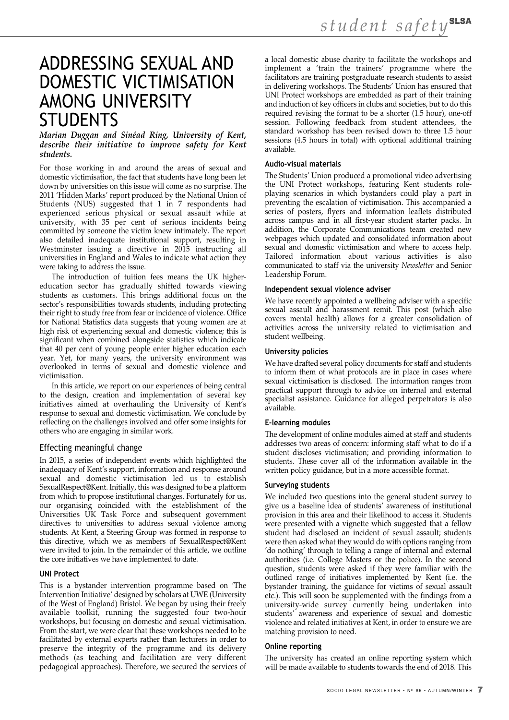## AddreSSinG SexuAL And doMeSTiC ViCTiMiSATion AMonG uniVerSiTy **STUDENTS**

*Marian Duggan and Sinéad Ring, University of Kent, describe their initiative to improve safety for Kent students.*

For those working in and around the areas of sexual and domestic victimisation, the fact that students have long been let down by universities on this issue will come as no surprise. The 2011 'Hidden Marks' report produced by the National Union of Students (NUS) suggested that 1 in 7 respondents had experienced serious physical or sexual assault while at university, with 35 per cent of serious incidents being committed by someone the victim knew intimately. The report also detailed inadequate institutional support, resulting in Westminster issuing a directive in 2015 instructing all universities in England and Wales to indicate what action they were taking to address the issue.

The introduction of tuition fees means the UK highereducation sector has gradually shifted towards viewing students as customers. This brings additional focus on the sector's responsibilities towards students, including protecting their right to study free from fear or incidence of violence. Office for National Statistics data suggests that young women are at high risk of experiencing sexual and domestic violence; this is significant when combined alongside statistics which indicate that 40 per cent of young people enter higher education each year. Yet, for many years, the university environment was overlooked in terms of sexual and domestic violence and victimisation.

In this article, we report on our experiences of being central to the design, creation and implementation of several key initiatives aimed at overhauling the University of Kent's response to sexual and domestic victimisation. We conclude by reflecting on the challenges involved and offer some insights for others who are engaging in similar work.

#### Effecting meaningful change

In 2015, a series of independent events which highlighted the inadequacy of Kent's support, information and response around sexual and domestic victimisation led us to establish SexualRespect@Kent. Initially, this was designed to be a platform from which to propose institutional changes. Fortunately for us, our organising coincided with the establishment of the Universities UK Task Force and subsequent government directives to universities to address sexual violence among students. At Kent, a Steering Group was formed in response to this directive, which we as members of SexualRespect@Kent were invited to join. In the remainder of this article, we outline the core initiatives we have implemented to date.

#### **UNI Protect**

This is a bystander intervention programme based on 'The Intervention Initiative' designed by scholars at UWE (University of the West of England) Bristol. We began by using their freely available toolkit, running the suggested four two-hour workshops, but focusing on domestic and sexual victimisation. From the start, we were clear that these workshops needed to be facilitated by external experts rather than lecturers in order to preserve the integrity of the programme and its delivery methods (as teaching and facilitation are very different pedagogical approaches). Therefore, we secured the services of a local domestic abuse charity to facilitate the workshops and implement a 'train the trainers' programme where the facilitators are training postgraduate research students to assist in delivering workshops. The Students' Union has ensured that UNI Protect workshops are embedded as part of their training and induction of key officers in clubs and societies, but to do this required revising the format to be a shorter (1.5 hour), one-off session. Following feedback from student attendees, the standard workshop has been revised down to three 1.5 hour sessions (4.5 hours in total) with optional additional training available.

#### **Audio-visual materials**

The Students' Union produced a promotional video advertising the UNI Protect workshops, featuring Kent students roleplaying scenarios in which bystanders could play a part in preventing the escalation of victimisation. This accompanied a series of posters, flyers and information leaflets distributed across campus and in all first-year student starter packs. In addition, the Corporate Communications team created new webpages which updated and consolidated information about sexual and domestic victimisation and where to access help. Tailored information about various activities is also communicated to staff via the university *Newsletter* and Senior Leadership Forum.

#### **Independent sexual violence adviser**

We have recently appointed a wellbeing adviser with a specific sexual assault and harassment remit. This post (which also covers mental health) allows for a greater consolidation of activities across the university related to victimisation and student wellbeing.

#### **University policies**

We have drafted several policy documents for staff and students to inform them of what protocols are in place in cases where sexual victimisation is disclosed. The information ranges from practical support through to advice on internal and external specialist assistance. Guidance for alleged perpetrators is also available.

#### **E-learning modules**

The development of online modules aimed at staff and students addresses two areas of concern: informing staff what to do if a student discloses victimisation; and providing information to students. These cover all of the information available in the written policy guidance, but in a more accessible format.

#### **Surveying students**

We included two questions into the general student survey to give us a baseline idea of students' awareness of institutional provision in this area and their likelihood to access it. Students were presented with a vignette which suggested that a fellow student had disclosed an incident of sexual assault; students were then asked what they would do with options ranging from 'do nothing' through to telling a range of internal and external authorities (i.e. College Masters or the police). In the second question, students were asked if they were familiar with the outlined range of initiatives implemented by Kent (i.e. the bystander training, the guidance for victims of sexual assault etc.). This will soon be supplemented with the findings from a university-wide survey currently being undertaken into students' awareness and experience of sexual and domestic violence and related initiatives at Kent, in order to ensure we are matching provision to need.

#### **Online reporting**

The university has created an online reporting system which will be made available to students towards the end of 2018. This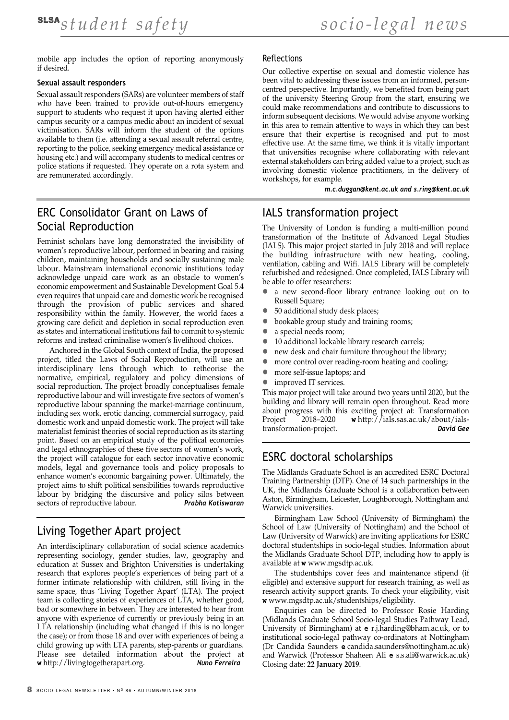mobile app includes the option of reporting anonymously if desired.

#### **Sexual assault responders**

Sexual assault responders (SARs) are volunteer members of staff who have been trained to provide out-of-hours emergency support to students who request it upon having alerted either campus security or a campus medic about an incident of sexual victimisation. SARs will inform the student of the options available to them (i.e. attending a sexual assault referral centre, reporting to the police, seeking emergency medical assistance or housing etc.) and will accompany students to medical centres or police stations if requested. They operate on a rota system and are remunerated accordingly.

## **ERC Consolidator Grant on Laws of** Social Reproduction

Feminist scholars have long demonstrated the invisibility of women's reproductive labour, performed in bearing and raising children, maintaining households and socially sustaining male labour. Mainstream international economic institutions today acknowledge unpaid care work as an obstacle to women's economic empowerment and Sustainable Development Goal 5.4 even requires that unpaid care and domestic work be recognised through the provision of public services and shared responsibility within the family. However, the world faces a growing care deficit and depletion in social reproduction even as states and international institutions fail to commit to systemic reforms and instead criminalise women's livelihood choices.

Anchored in the Global South context of India, the proposed project, titled the Laws of Social Reproduction, will use an interdisciplinary lens through which to retheorise the normative, empirical, regulatory and policy dimensions of social reproduction. The project broadly conceptualises female reproductive labour and will investigate five sectors of women's reproductive labour spanning the market-marriage continuum, including sex work, erotic dancing, commercial surrogacy, paid domestic work and unpaid domestic work. The project will take materialist feminist theories of social reproduction as its starting point. Based on an empirical study of the political economies and legal ethnographies of these five sectors of women's work, the project will catalogue for each sector innovative economic models, legal and governance tools and policy proposals to enhance women's economic bargaining power. Ultimately, the project aims to shift political sensibilities towards reproductive labour by bridging the discursive and policy silos between sectors of reproductive labour. *Prabha Kotiswaran*

## Living Together Apart project

An interdisciplinary collaboration of social science academics representing sociology, gender studies, law, geography and education at Sussex and Brighton Universities is undertaking research that explores people's experiences of being part of a former intimate relationship with children, still living in the same space, thus 'Living Together Apart' (LTA). The project team is collecting stories of experiences of LTA, whether good, bad or somewhere in between. They are interested to hear from anyone with experience of currently or previously being in an LTA relationship (including what changed if this is no longer the case); or from those 18 and over with experiences of being a child growing up with LTA parents, step-parents or guardians. Please see detailed information about the project at **w** http://livingtogetherapart.org. *Nuno Ferreira*

#### Reflections

Our collective expertise on sexual and domestic violence has been vital to addressing these issues from an informed, personcentred perspective. Importantly, we benefited from being part of the university Steering Group from the start, ensuring we could make recommendations and contribute to discussions to inform subsequent decisions. We would advise anyone working in this area to remain attentive to ways in which they can best ensure that their expertise is recognised and put to most effective use. At the same time, we think it is vitally important that universities recognise where collaborating with relevant external stakeholders can bring added value to a project, such as involving domestic violence practitioners, in the delivery of workshops, for example.

*m.c.duggan@kent.ac.uk and s.ring@kent.ac.uk*

### iALS transformation project

The University of London is funding a multi-million pound transformation of the Institute of Advanced Legal Studies (IALS). This major project started in July 2018 and will replace the building infrastructure with new heating, cooling, ventilation, cabling and Wifi. IALS Library will be completely refurbished and redesigned. Once completed, IALS Library will be able to offer researchers:

- a new second-floor library entrance looking out on to Russell Square;
- 50 additional study desk places;
- bookable group study and training rooms;
- a special needs room;
- 10 additional lockable library research carrels;
- $\bullet$  new desk and chair furniture throughout the library;
- $\bullet$  more control over reading-room heating and cooling;
- **nota** more self-issue laptops; and
- **u** improved IT services.

This major project will take around two years until 2020, but the building and library will remain open throughout. Read more about progress with this exciting project at: Transformation Project 2018–2020 **w** http://ials.sas.ac.uk/about/ialstransformation-project. *David Gee*

## ESRC doctoral scholarships

The Midlands Graduate School is an accredited ESRC Doctoral Training Partnership (DTP). One of 14 such partnerships in the UK, the Midlands Graduate School is a collaboration between Aston, Birmingham, Leicester, Loughborough, Nottingham and Warwick universities.

Birmingham Law School (University of Birmingham) the School of Law (University of Nottingham) and the School of Law (University of Warwick) are inviting applications for ESRC doctoral studentships in socio-legal studies. Information about the Midlands Graduate School DTP, including how to apply is available at **w** www.mgsdtp.ac.uk.

The studentships cover fees and maintenance stipend (if eligible) and extensive support for research training, as well as research activity support grants. To check your eligibility, visit **w** www.mgsdtp.ac.uk/studentships/eligibility.

Enquiries can be directed to Professor Rosie Harding (Midlands Graduate School Socio-legal Studies Pathway Lead, University of Birmingham) at **e** r.j.harding@bham.ac.uk, or to institutional socio-legal pathway co-ordinators at Nottingham (Dr Candida Saunders **e** candida.saunders@nottingham.ac.uk) and Warwick (Professor Shaheen Ali **e** s.s.ali@warwick.ac.uk) Closing date: **22 January 2019**.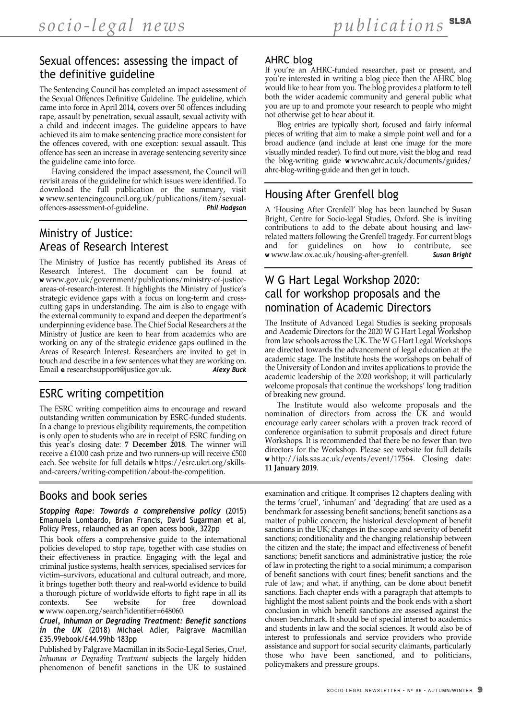## Sexual offences: assessing the impact of the definitive guideline

The Sentencing Council has completed an impact assessment of the Sexual Offences Definitive Guideline. The guideline, which came into force in April 2014, covers over 50 offences including rape, assault by penetration, sexual assault, sexual activity with a child and indecent images. The guideline appears to have achieved its aim to make sentencing practice more consistent for the offences covered, with one exception: sexual assault. This offence has seen an increase in average sentencing severity since the guideline came into force.

Having considered the impact assessment, the Council will revisit areas of the guideline for which issues were identified. To download the full publication or the summary, visit **w** www.sentencingcouncil.org.uk/publications/item/sexualoffences-assessment-of-guideline. *Phil Hodgson*

## Ministry of Justice: Areas of Research Interest

The Ministry of Justice has recently published its Areas of Research Interest. The document can be found at **w** www.gov.uk/government/publications/ministry-of-justiceareas-of-research-interest. It highlights the Ministry of Justice's strategic evidence gaps with a focus on long-term and crosscutting gaps in understanding. The aim is also to engage with the external community to expand and deepen the department's underpinning evidence base. The Chief Social Researchers at the Ministry of Justice are keen to hear from academics who are working on any of the strategic evidence gaps outlined in the Areas of Research Interest. Researchers are invited to get in touch and describe in a few sentences what they are working on. Email **e** researchsupport@justice.gov.uk. *Alexy Buck*

## **ESRC** writing competition

The ESRC writing competition aims to encourage and reward outstanding written communication by ESRC-funded students. In a change to previous eligibility requirements, the competition is only open to students who are in receipt of ESRC funding on this year's closing date: **7 December 2018**. The winner will receive a £1000 cash prize and two runners-up will receive £500 each. See website for full details **w** https://esrc.ukri.org/skillsand-careers/writing-competition/about-the-competition.

## Books and book series

*Stopping Rape: Towards a comprehensive policy* (2015) Emanuela Lombardo, Brian Francis, David Sugarman et al, Policy Press, relaunched as an open acess book, 322pp

This book offers a comprehensive guide to the international policies developed to stop rape, together with case studies on their effectiveness in practice. Engaging with the legal and criminal justice systems, health services, specialised services for victim–survivors, educational and cultural outreach, and more, it brings together both theory and real-world evidence to build a thorough picture of worldwide efforts to fight rape in all its contexts. See website for free download contexts. See website for free download **w** www.oapen.org/search?identifier=648060.

#### *Cruel, Inhuman or Degrading Treatment: Benefit sanctions in the UK* (2018) Michael Adler, Palgrave Macmillan £35.99ebook/£44.99hb 183pp

Published by Palgrave Macmillan in its Socio-Legal Series, *Cruel, Inhuman or Degrading Treatment* subjects the largely hidden phenomenon of benefit sanctions in the UK to sustained

#### AHRC blog

If you're an AHRC-funded researcher, past or present, and you're interested in writing a blog piece then the AHRC blog would like to hear from you. The blog provides a platform to tell both the wider academic community and general public what you are up to and promote your research to people who might not otherwise get to hear about it.

Blog entries are typically short, focused and fairly informal pieces of writing that aim to make a simple point well and for a broad audience (and include at least one image for the more visually minded reader). To find out more, visit the blog and read the blog-writing guide **w** www.ahrc.ac.uk/documents/guides/ ahrc-blog-writing-guide and then get in touch.

## Housing After Grenfell blog

A 'Housing After Grenfell' blog has been launched by Susan Bright, Centre for Socio-legal Studies, Oxford. She is inviting contributions to add to the debate about housing and lawrelated matters following the Grenfell tragedy. For current blogs and for guidelines on how to contribute, see **w** www.law.ox.ac.uk/housing-after-grenfell. *Susan Bright*

## w G Hart Legal workshop 2020: call for workshop proposals and the nomination of Academic Directors

The Institute of Advanced Legal Studies is seeking proposals and Academic Directors for the 2020 W G Hart Legal Workshop from law schools across the UK. The W G Hart Legal Workshops are directed towards the advancement of legal education at the academic stage. The Institute hosts the workshops on behalf of the University of London and invites applications to provide the academic leadership of the 2020 workshop; it will particularly welcome proposals that continue the workshops' long tradition of breaking new ground.

The Institute would also welcome proposals and the nomination of directors from across the UK and would encourage early career scholars with a proven track record of conference organisation to submit proposals and direct future Workshops. It is recommended that there be no fewer than two directors for the Workshop. Please see website for full details **w** http://ials.sas.ac.uk/events/event/17564. Closing date: **11 January 2019**.

examination and critique. It comprises 12 chapters dealing with the terms 'cruel', 'inhuman' and 'degrading' that are used as a benchmark for assessing benefit sanctions; benefit sanctions as a matter of public concern; the historical development of benefit sanctions in the UK; changes in the scope and severity of benefit sanctions; conditionality and the changing relationship between the citizen and the state; the impact and effectiveness of benefit sanctions; benefit sanctions and administrative justice; the role of law in protecting the right to a social minimum; a comparison of benefit sanctions with court fines; benefit sanctions and the rule of law; and what, if anything, can be done about benefit sanctions. Each chapter ends with a paragraph that attempts to highlight the most salient points and the book ends with a short conclusion in which benefit sanctions are assessed against the chosen benchmark. It should be of special interest to academics and students in law and the social sciences. It would also be of interest to professionals and service providers who provide assistance and support for social security claimants, particularly those who have been sanctioned, and to politicians, policymakers and pressure groups.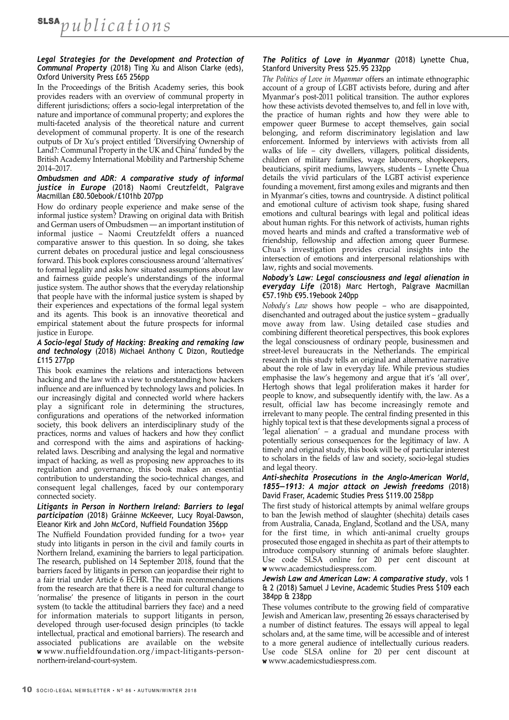#### *Legal Strategies for the Development and Protection of Communal Property* (2018) Ting xu and Alison Clarke (eds), Oxford University Press £65 256pp

In the Proceedings of the British Academy series, this book provides readers with an overview of communal property in different jurisdictions; offers a socio-legal interpretation of the nature and importance of communal property; and explores the multi-faceted analysis of the theoretical nature and current development of communal property. It is one of the research outputs of Dr Xu's project entitled 'Diversifying Ownership of Land?: Communal Property in the UK and China' funded by the British Academy International Mobility and Partnership Scheme 2014–2017.

#### *Ombudsmen and ADR: A comparative study of informal justice in Europe* (2018) naomi Creutzfeldt, Palgrave Macmillan £80.50ebook/£101hb 207pp

How do ordinary people experience and make sense of the informal justice system? Drawing on original data with British and German users of Ombudsmen — an important institution of informal justice – Naomi Creutzfeldt offers a nuanced comparative answer to this question. In so doing, she takes current debates on procedural justice and legal consciousness forward. This book explores consciousness around 'alternatives' to formal legality and asks how situated assumptions about law and fairness guide people's understandings of the informal justice system. The author shows that the everyday relationship that people have with the informal justice system is shaped by their experiences and expectations of the formal legal system and its agents. This book is an innovative theoretical and empirical statement about the future prospects for informal justice in Europe.

#### *A Socio-legal Study of Hacking: Breaking and remaking law* and *technology* (2018) Michael Anthony C Dizon, Routledge £115 277pp

This book examines the relations and interactions between hacking and the law with a view to understanding how hackers influence and are influenced by technology laws and policies. In our increasingly digital and connected world where hackers play a significant role in determining the structures, configurations and operations of the networked information society, this book delivers an interdisciplinary study of the practices, norms and values of hackers and how they conflict and correspond with the aims and aspirations of hackingrelated laws. Describing and analysing the legal and normative impact of hacking, as well as proposing new approaches to its regulation and governance, this book makes an essential contribution to understanding the socio-technical changes, and consequent legal challenges, faced by our contemporary connected society.

#### *Litigants in Person in Northern Ireland: Barriers to legal* participation (2018) Gráinne McKeever, Lucy Royal-Dawson, Eleanor Kirk and John McCord, Nuffield Foundation 356pp

The Nuffield Foundation provided funding for a two+ year study into litigants in person in the civil and family courts in Northern Ireland, examining the barriers to legal participation. The research, published on 14 September 2018, found that the barriers faced by litigants in person can jeopardise their right to a fair trial under Article 6 ECHR. The main recommendations from the research are that there is a need for cultural change to 'normalise' the presence of litigants in person in the court system (to tackle the attitudinal barriers they face) and a need for information materials to support litigants in person, developed through user-focused design principles (to tackle intellectual, practical and emotional barriers). The research and associated publications are available on the website **w** www.nuffieldfoundation.org/impact-litigants-personnorthern-ireland-court-system.

#### *The Politics of Love in Myanmar* (2018) Lynette Chua, Stanford University Press \$25.95 232pp

*The Politics of Love in Myanmar* offers an intimate ethnographic account of a group of LGBT activists before, during and after Myanmar's post-2011 political transition. The author explores how these activists devoted themselves to, and fell in love with, the practice of human rights and how they were able to empower queer Burmese to accept themselves, gain social belonging, and reform discriminatory legislation and law enforcement. Informed by interviews with activists from all walks of life – city dwellers, villagers, political dissidents, children of military families, wage labourers, shopkeepers, beauticians, spirit mediums, lawyers, students – Lynette Chua details the vivid particulars of the LGBT activist experience founding a movement, first among exiles and migrants and then in Myanmar's cities, towns and countryside. A distinct political and emotional culture of activism took shape, fusing shared emotions and cultural bearings with legal and political ideas about human rights. For this network of activists, human rights moved hearts and minds and crafted a transformative web of friendship, fellowship and affection among queer Burmese. Chua's investigation provides crucial insights into the intersection of emotions and interpersonal relationships with law, rights and social movements.

#### *Nobody's Law: Legal consciousness and legal alienation in everyday Life* (2018) Marc Hertogh, Palgrave Macmillan €57.19hb €95.19ebook 240pp

*Nobody's Law* shows how people – who are disappointed, disenchanted and outraged about the justice system – gradually move away from law. Using detailed case studies and combining different theoretical perspectives, this book explores the legal consciousness of ordinary people, businessmen and street-level bureaucrats in the Netherlands. The empirical research in this study tells an original and alternative narrative about the role of law in everyday life. While previous studies emphasise the law's hegemony and argue that it's 'all over', Hertogh shows that legal proliferation makes it harder for people to know, and subsequently identify with, the law. As a result, official law has become increasingly remote and irrelevant to many people. The central finding presented in this highly topical text is that these developments signal a process of 'legal alienation' – a gradual and mundane process with potentially serious consequences for the legitimacy of law. A timely and original study, this book will be of particular interest to scholars in the fields of law and society, socio-legal studies and legal theory.

#### *Anti-shechita Prosecutions in the Anglo-American World, 1855—1913: A major attack on Jewish freedoms* (2018) David Fraser, Academic Studies Press \$119.00 258pp

The first study of historical attempts by animal welfare groups to ban the Jewish method of slaughter (shechita) details cases from Australia, Canada, England, Scotland and the USA, many for the first time, in which anti-animal cruelty groups prosecuted those engaged in shechita as part of their attempts to introduce compulsory stunning of animals before slaughter. Use code SLSA online for 20 per cent discount at **w** www.academicstudiespress.com.

#### *Jewish Law and American Law: A comparative study*, vols 1 & 2 (2018) Samuel J Levine, Academic Studies Press \$109 each 384pp & 238pp

These volumes contribute to the growing field of comparative Jewish and American law, presenting 26 essays characterised by a number of distinct features. The essays will appeal to legal scholars and, at the same time, will be accessible and of interest to a more general audience of intellectually curious readers. Use code SLSA online for 20 per cent discount at **w** www.academicstudiespress.com.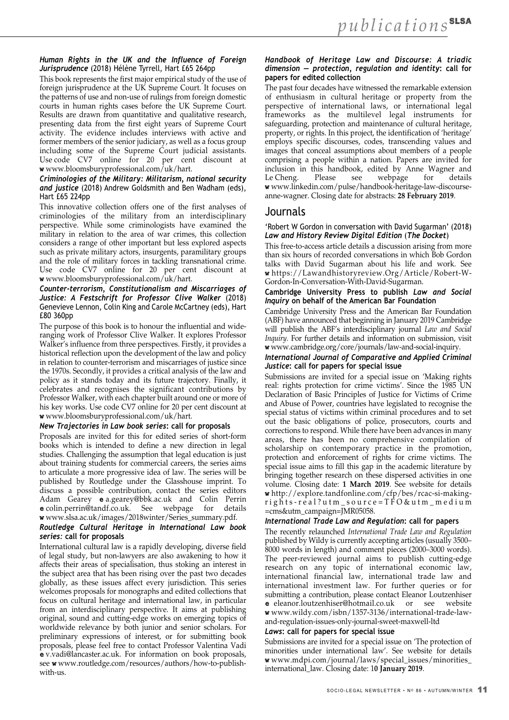#### *Human Rights in the UK and the Influence of Foreign Jurisprudence* (2018) Hélène Tyrrell, Hart £65 264pp

This book represents the first major empirical study of the use of foreign jurisprudence at the UK Supreme Court. It focuses on the patterns of use and non-use of rulings from foreign domestic courts in human rights cases before the UK Supreme Court. Results are drawn from quantitative and qualitative research, presenting data from the first eight years of Supreme Court activity. The evidence includes interviews with active and former members of the senior judiciary, as well as a focus group including some of the Supreme Court judicial assistants. Use code CV7 online for 20 per cent discount at **w** www.bloomsburyprofessional.com/uk/hart.

#### *Criminologies of the Military: Militarism, national security and justice* (2018) Andrew Goldsmith and Ben wadham (eds), Hart £65 224pp

This innovative collection offers one of the first analyses of criminologies of the military from an interdisciplinary perspective. While some criminologists have examined the military in relation to the area of war crimes, this collection considers a range of other important but less explored aspects such as private military actors, insurgents, paramilitary groups and the role of military forces in tackling transnational crime. Use code CV7 online for 20 per cent discount at **w** www.bloomsburyprofessional.com/uk/hart.

#### *Counter-terrorism, Constitutionalism and Miscarriages of Justice: A Festschrift for Professor Clive Walker* (2018) Genevieve Lennon, Colin King and Carole McCartney (eds), Hart £80 360pp

The purpose of this book is to honour the influential and wideranging work of Professor Clive Walker. It explores Professor Walker's influence from three perspectives. Firstly, it provides a historical reflection upon the development of the law and policy in relation to counter-terrorism and miscarriages of justice since the 1970s. Secondly, it provides a critical analysis of the law and policy as it stands today and its future trajectory. Finally, it celebrates and recognises the significant contributions by Professor Walker, with each chapter built around one or more of his key works. Use code CV7 online for 20 per cent discount at **w** www.bloomsburyprofessional.com/uk/hart.

#### *New Trajectories in Law book series***: call for proposals**

Proposals are invited for this for edited series of short-form books which is intended to define a new direction in legal studies. Challenging the assumption that legal education is just about training students for commercial careers, the series aims to articulate a more progressive idea of law. The series will be published by Routledge under the Glasshouse imprint. To discuss a possible contribution, contact the series editors Adam Gearey **e** a.gearey@bbk.ac.uk and Colin Perrin **e** colin.perrin@tandf.co.uk. See webpage for details **w** www.slsa.ac.uk/images/2018winter/Series\_summary.pdf.

#### *Routledge Cultural Heritage in International Law book series:* **call for proposals**

International cultural law is a rapidly developing, diverse field of legal study, but non-lawyers are also awakening to how it affects their areas of specialisation, thus stoking an interest in the subject area that has been rising over the past two decades globally, as these issues affect every jurisdiction. This series welcomes proposals for monographs and edited collections that focus on cultural heritage and international law, in particular from an interdisciplinary perspective. It aims at publishing original, sound and cutting-edge works on emerging topics of worldwide relevance by both junior and senior scholars. For preliminary expressions of interest, or for submitting book proposals, please feel free to contact Professor Valentina Vadi **e** v.vadi@lancaster.ac.uk. For information on book proposals, see **w** www.routledge.com/resources/authors/how-to-publishwith-us.

#### *Handbook of Heritage Law and Discourse: A triadic dimension — protection, regulation and identity***: call for papers for edited collection**

The past four decades have witnessed the remarkable extension of enthusiasm in cultural heritage or property from the perspective of international laws, or international legal frameworks as the multilevel legal instruments for safeguarding, protection and maintenance of cultural heritage, property, or rights. In this project, the identification of 'heritage' employs specific discourses, codes, transcending values and images that conceal assumptions about members of a people comprising a people within a nation. Papers are invited for inclusion in this handbook, edited by Anne Wagner and Le Cheng. Please see webpage for details **w** www.linkedin.com/pulse/handbook-heritage-law-discourseanne-wagner. Closing date for abstracts: **28 February 2019**.

### Journals

#### 'Robert W Gordon in conversation with David Sugarman' (2018) *Law and History Review Digital Edition* (*The Docket*)

This free-to-access article details a discussion arising from more than six hours of recorded conversations in which Bob Gordon talks with David Sugarman about his life and work. See **w** https://Lawandhistoryreview.Org/Article/Robert-W-Gordon-In-Conversation-With-David-Sugarman.

#### **Cambridge University Press to publish** *Law and Social Inquiry* **on behalf of the American Bar Foundation**

Cambridge University Press and the American Bar Foundation (ABF) have announced that beginning in January 2019 Cambridge will publish the ABF's interdisciplinary journal *Law and Social Inquiry.* For further details and information on submission, visit **w** www.cambridge.org/core/journals/law-and-social-inquiry.

#### *International Journal of Comparative and Applied Criminal Justice***: call for papers for special issue**

Submissions are invited for a special issue on 'Making rights real: rights protection for crime victims'. Since the 1985 UN Declaration of Basic Principles of Justice for Victims of Crime and Abuse of Power, countries have legislated to recognise the special status of victims within criminal procedures and to set out the basic obligations of police, prosecutors, courts and corrections to respond. While there have been advances in many areas, there has been no comprehensive compilation of scholarship on contemporary practice in the promotion, protection and enforcement of rights for crime victims. The special issue aims to fill this gap in the academic literature by bringing together research on these dispersed activities in one volume. Closing date: **1 March 2019**. See website for details **w** http://explore.tandfonline.com/cfp/bes/rcac-si-makingrights-real?utm\_source=TFO&utm\_medium =cms&utm\_campaign=JMR05058.

#### *International Trade Law and Regulation***: call for papers**

The recently relaunched *International Trade Law and Regulation* published by Wildy is currently accepting articles (usually 3500– 8000 words in length) and comment pieces (2000–3000 words). The peer-reviewed journal aims to publish cutting-edge research on any topic of international economic law, international financial law, international trade law and international investment law. For further queries or for submitting a contribution, please contact Eleanor Loutzenhiser **e** eleanor.loutzenhiser@hotmail.co.uk or see website **w** www.wildy.com/isbn/1357-3136/international-trade-lawand-regulation-issues-only-journal-sweet-maxwell-ltd

#### *Laws***: call for papers for special issue**

Submissions are invited for a special issue on 'The protection of minorities under international law'. See website for details **w** www.mdpi.com/journal/laws/special\_issues/minorities\_ international\_law. Closing date: 1**0 January 2019**.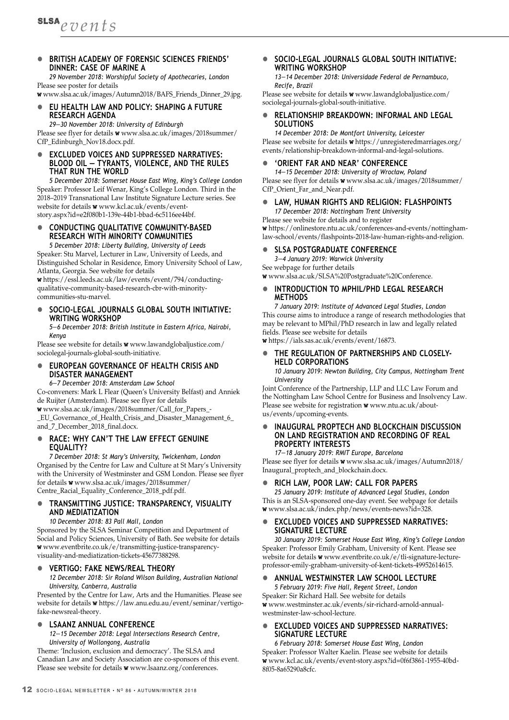#### l **BRITISH ACADEMY OF FORENSIC SCIENCES FRIENDS' DINNER: CASE OF MARINE A**

*29 November 2018: Worshipful Society of Apothecaries, London* Please see poster for details

**w** www.slsa.ac.uk/images/Autumn2018/BAFS\_Friends\_Dinner\_29.jpg.

#### l **EU HEALTH LAW AND POLICY: SHAPING A FUTURE RESEARCH AGENDA**

*29—30 November 2018: University of Edinburgh* Please see flyer for details **w** www.slsa.ac.uk/images/2018summer/ CfP\_Edinburgh\_Nov18.docx.pdf.

#### l **EXCLUDED VOICES AND SUPPRESSED NARRATIVES: BLOOD OIL — TYRANTS, VIOLENCE, AND THE RULES THAT RUN THE WORLD**

*5 December 2018: Somerset House East Wing, King's College London* Speaker: Professor Leif Wenar, King's College London. Third in the 2018–2019 Transnational Law Institute Signature Lecture series. See website for details **w** www.kcl.ac.uk/events/eventstory.aspx?id=e2f080b1-139e-44b1-bbad-6c5116ee44bf.

#### l **CONDUCTING QUALITATIVE COMMUNITY-BASED RESEARCH WITH MINORITY COMMUNITIES**

*5 December 2018: Liberty Building, University of Leeds* Speaker: Stu Marvel, Lecturer in Law, University of Leeds, and Distinguished Scholar in Residence, Emory University School of Law, Atlanta, Georgia. See website for details

**w** https://essl.leeds.ac.uk/law/events/event/794/conductingqualitative-community-based-research-cbr-with-minoritycommunities-stu-marvel.

#### l **SOCIO-LEGAL JOURNALS GLOBAL SOUTH INITIATIVE: WRITING WORKSHOP**

*5—6 December 2018: British Institute in Eastern Africa, Nairobi, Kenya*

Please see website for details **w** www.lawandglobaljustice.com/ sociolegal-journals-global-south-initiative.

#### l **EUROPEAN GOVERNANCE OF HEALTH CRISIS AND DISASTER MANAGEMENT**

*6—7 December 2018: Amsterdam Law School*

Co-conveners: Mark L Flear (Queen's University Belfast) and Anniek de Ruijter (Amsterdam). Please see flyer for details

**w** www.slsa.ac.uk/images/2018summer/Call\_for\_Papers\_- \_EU\_Governance\_of\_Health\_Crisis\_and\_Disaster\_Management\_6\_ and\_7\_December\_2018\_final.docx.

#### l **RACE: WHY CAN'T THE LAW EFFECT GENUINE EQUALITY?**

*7 December 2018: St Mary's University, Twickenham, London* Organised by the Centre for Law and Culture at St Mary's University with the University of Westminster and GSM London. Please see flyer for details **w** www.slsa.ac.uk/images/2018summer/ Centre\_Racial\_Equality\_Conference\_2018\_pdf.pdf.

#### l **TRANSMITTING JUSTICE: TRANSPARENCY, VISUALITY AND MEDIATIZATION**

#### *10 December 2018: 83 Pall Mall, London*

Sponsored by the SLSA Seminar Competition and Department of Social and Policy Sciences, University of Bath. See website for details **w** www.eventbrite.co.uk/e/transmitting-justice-transparencyvisuality-and-mediatization-tickets-45677388298.

#### l **VERTIGO: FAKE NEWS/REAL THEORY**

*12 December 2018: Sir Roland Wilson Building, Australian National University, Canberra, Australia*

Presented by the Centre for Law, Arts and the Humanities. Please see website for details **w** https://law.anu.edu.au/event/seminar/vertigofake-newsreal-theory.

#### l **LSAANZ ANNUAL CONFERENCE**

*12—15 December 2018: Legal Intersections Research Centre, University of Wollongong, Australia*

Theme: 'Inclusion, exclusion and democracy'. The SLSA and Canadian Law and Society Association are co-sponsors of this event. Please see website for details **w** www.lsaanz.org/conferences.

#### l **SOCIO-LEGAL JOURNALS GLOBAL SOUTH INITIATIVE: WRITING WORKSHOP**

*13—14 December 2018: Universidade Federal de Pernambuco, Recife, Brazil*

Please see website for details **w** www.lawandglobaljustice.com/ sociolegal-journals-global-south-initiative.

#### l **RELATIONSHIP BREAKDOWN: INFORMAL AND LEGAL SOLUTIONS**

*14 December 2018: De Montfort University, Leicester* Please see website for details **w** https://unregisteredmarriages.org/ events/relationship-breakdown-informal-and-legal-solutions.

#### l **'ORIENT FAR AND NEAR' CONFERENCE**

*14—15 December 2018: University of Wrocław, Poland* Please see flyer for details **w** www.slsa.ac.uk/images/2018summer/ CfP\_Orient\_Far\_and\_Near.pdf.

#### l **LAW, HUMAN RIGHTS AND RELIGION: FLASHPOINTS**

*17 December 2018: Nottingham Trent University*

Please see website for details and to register **w** https://onlinestore.ntu.ac.uk/conferences-and-events/nottinghamlaw-school/events/flashpoints-2018-law-human-rights-and-religion.

#### l **SLSA POSTGRADUATE CONFERENCE**

*3—4 January 2019: Warwick University* See webpage for further details **w** www.slsa.ac.uk/SLSA%20Postgraduate%20Conference.

#### l **INTRODUCTION TO MPHIL/PHD LEGAL RESEARCH METHODS**

*7 January 2019: Institute of Advanced Legal Studies, London* This course aims to introduce a range of research methodologies that may be relevant to MPhil/PhD research in law and legally related fields. Please see website for details

**w** https://ials.sas.ac.uk/events/event/16873.

#### l **THE REGULATION OF PARTNERSHIPS AND CLOSELY-HELD CORPORATIONS**

*10 January 2019: Newton Building, City Campus, Nottingham Trent University*

Joint Conference of the Partnership, LLP and LLC Law Forum and the Nottingham Law School Centre for Business and Insolvency Law. Please see website for registration **w** www.ntu.ac.uk/aboutus/events/upcoming-events.

#### l **INAUGURAL PROPTECH AND BLOCKCHAIN DISCUSSION ON LAND REGISTRATION AND RECORDING OF REAL PROPERTY INTERESTS**

*17—18 January 2019: RMIT Europe, Barcelona*

Please see flyer for details **w** www.slsa.ac.uk/images/Autumn2018/ Inaugural\_proptech\_and\_blockchain.docx.

#### l **RICH LAW, POOR LAW: CALL FOR PAPERS**

*25 January 2019: Institute of Advanced Legal Studies, London* This is an SLSA-sponsored one-day event. See webpage for details **w** www.slsa.ac.uk/index.php/news/events-news?id=328.

#### l **EXCLUDED VOICES AND SUPPRESSED NARRATIVES: SIGNATURE LECTURE**

*30 January 2019: Somerset House East Wing, King's College London* Speaker: Professor Emily Grabham, University of Kent. Please see website for details **w** www.eventbrite.co.uk/e/tli-signature-lectureprofessor-emily-grabham-university-of-kent-tickets-49952614615.

#### l **ANNUAL WESTMINSTER LAW SCHOOL LECTURE**

*5 February 2019: Five Hall, Regent Street, London* Speaker: Sir Richard Hall. See website for details **w** www.westminster.ac.uk/events/sir-richard-arnold-annualwestminster-law-school-lecture.

#### l **EXCLUDED VOICES AND SUPPRESSED NARRATIVES: SIGNATURE LECTURE**

*6 February 2018: Somerset House East Wing, London* Speaker: Professor Walter Kaelin. Please see website for details **w** www.kcl.ac.uk/events/event-story.aspx?id=0f6f3861-1955-40bd-8f05-8a65290a8cfc.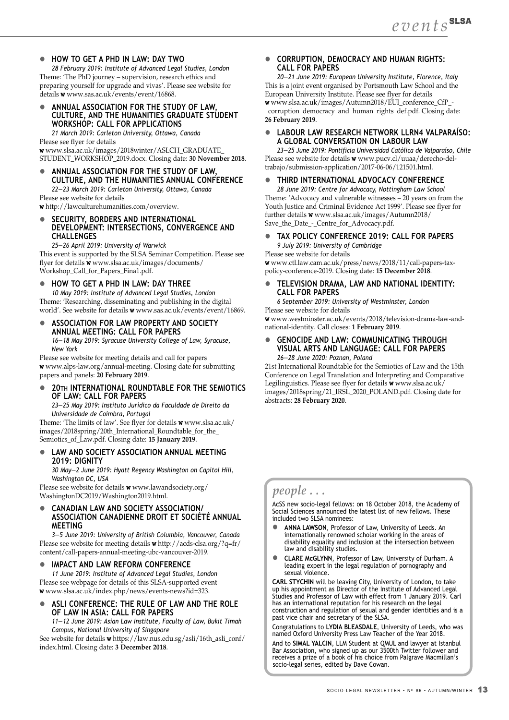#### l **HOW TO GET A PHD IN LAW: DAY TWO**

*28 February 2019: Institute of Advanced Legal Studies, London* Theme: 'The PhD journey – supervision, research ethics and preparing yourself for upgrade and vivas'. Please see website for details **w** www.sas.ac.uk/events/event/16868.

#### l **ANNUAL ASSOCIATION FOR THE STUDY OF LAW, CULTURE, AND THE HUMANITIES GRADUATE STUDENT WORKSHOP: CALL FOR APPLICATIONS**

*21 March 2019: Carleton University, Ottawa, Canada* Please see flyer for details

**w** www.slsa.ac.uk/images/2018winter/ASLCH\_GRADUATE\_ STUDENT\_WORKSHOP\_2019.docx. Closing date: **30 November 2018**.

l **ANNUAL ASSOCIATION FOR THE STUDY OF LAW, CULTURE, AND THE HUMANITIES ANNUAL CONFERENCE** *22—23 March 2019: Carleton University, Ottawa, Canada*

Please see website for details

**w** http://lawculturehumanities.com/overview.

l **SECURITY, BORDERS AND INTERNATIONAL DEVELOPMENT: INTERSECTIONS, CONVERGENCE AND CHALLENGES**

*25—26 April 2019: University of Warwick*

This event is supported by the SLSA Seminar Competition. Please see flyer for details **w** www.slsa.ac.uk/images/documents/ Workshop\_Call\_for\_Papers\_Fina1.pdf.

#### l **HOW TO GET A PHD IN LAW: DAY THREE**

*10 May 2019: Institute of Advanced Legal Studies, London* Theme: 'Researching, disseminating and publishing in the digital world'. See website for details **w** www.sas.ac.uk/events/event/16869.

l **ASSOCIATION FOR LAW PROPERTY AND SOCIETY ANNUAL MEETING: CALL FOR PAPERS**

*16—18 May 2019: Syracuse University College of Law, Syracuse, New York*

Please see website for meeting details and call for papers **w** www.alps-law.org/annual-meeting. Closing date for submitting papers and panels: **20 February 2019**.

l **20TH INTERNATIONAL ROUNDTABLE FOR THE SEMIOTICS OF LAW: CALL FOR PAPERS**

*23—25 May 2019: Instituto Jurídico da Faculdade de Direito da Universidade de Coimbra, Portugal*

Theme: 'The limits of law'. See flyer for details **w** www.slsa.ac.uk/ images/2018spring/20th\_International\_Roundtable\_for\_the\_ Semiotics\_of\_Law.pdf. Closing date: **15 January 2019**.

l **LAW AND SOCIETY ASSOCIATION ANNUAL MEETING 2019: DIGNITY**

*30 May—2 June 2019: Hyatt Regency Washington on Capitol Hill, Washington DC, USA*

Please see website for details **w** www.lawandsociety.org/ WashingtonDC2019/Washington2019.html.

l **CANADIAN LAW AND SOCIETY ASSOCIATION/ ASSOCIATION CANADIENNE DROIT ET SOCIÉTÉ ANNUAL MEETING**

*3—5 June 2019: University of British Columbia, Vancouver, Canada* Please see website for meeting details **w** http://acds-clsa.org/?q=fr/ content/call-papers-annual-meeting-ubc-vancouver-2019.

#### l **IMPACT AND LAW REFORM CONFERENCE**

*11 June 2019: Institute of Advanced Legal Studies, London* Please see webpage for details of this SLSA-supported event **w** www.slsa.ac.uk/index.php/news/events-news?id=323.

l **ASLI CONFERENCE: THE RULE OF LAW AND THE ROLE OF LAW IN ASIA: CALL FOR PAPERS**

*11—12 June 2019: Asian Law Institute, Faculty of Law, Bukit Timah Campus, National University of Singapore*

See website for details **w** https://law.nus.edu.sg/asli/16th\_asli\_conf/ index.html. Closing date: **3 December 2018**.

#### l **CORRUPTION, DEMOCRACY AND HUMAN RIGHTS: CALL FOR PAPERS**

*20—21 June 2019: European University Institute, Florence, Italy* This is a joint event organised by Portsmouth Law School and the European University Institute. Please see flyer for details **w** www.slsa.ac.uk/images/Autumn2018/EUI\_conference\_CfP\_- \_corruption\_democracy\_and\_human\_rights\_def.pdf. Closing date: **26 February 2019**.

#### l **LABOUR LAW RESEARCH NETWORK LLRN4 VALPARAÍSO: A GLOBAL CONVERSATION ON LABOUR LAW**

*23—25 June 2019: Pontificia Universidad Católica de Valparaíso, Chile* Please see website for details **w** www.pucv.cl/uuaa/derecho-deltrabajo/submission-application/2017-06-06/121501.html.

#### l **THIRD INTERNATIONAL ADVOCACY CONFERENCE**

*28 June 2019: Centre for Advocacy, Nottingham Law School* Theme: 'Advocacy and vulnerable witnesses – 20 years on from the Youth Justice and Criminal Evidence Act 1999'. Please see flyer for further details **w** www.slsa.ac.uk/images/Autumn2018/ Save\_the\_Date\_-\_Centre\_for\_Advocacy.pdf.

#### l **TAX POLICY CONFERENCE 2019: CALL FOR PAPERS** *9 July 2019: University of Cambridge*

Please see website for details

**w** www.ctl.law.cam.ac.uk/press/news/2018/11/call-papers-taxpolicy-conference-2019. Closing date: **15 December 2018**.

#### l **TELEVISION DRAMA, LAW AND NATIONAL IDENTITY: CALL FOR PAPERS**

*6 September 2019: University of Westminster, London* Please see website for details

**w** www.westminster.ac.uk/events/2018/television-drama-law-andnational-identity. Call closes: **1 February 2019**.

#### l **GENOCIDE AND LAW: COMMUNICATING THROUGH VISUAL ARTS AND LANGUAGE: CALL FOR PAPERS** *26—28 June 2020: Poznan, Poland*

21st International Roundtable for the Semiotics of Law and the 15th Conference on Legal Translation and Interpreting and Comparative Legilinguistics. Please see flyer for details **w** www.slsa.ac.uk/ images/2018spring/21\_IRSL\_2020\_POLAND.pdf. Closing date for abstracts: **28 February 2020**.

### *people . . .*

AcSS new socio-legal fellows: on 18 october 2018, the Academy of Social Sciences announced the latest list of new fellows. These included two SLSA nominees:

- l **ANNA LAWSON**, Professor of Law, university of Leeds. An internationally renowned scholar working in the areas of disability equality and inclusion at the intersection between law and disability studies.
- l **CLARE McGLYNN**, Professor of Law, university of durham. A leading expert in the legal regulation of pornography and sexual violence.

**CARL STYCHIN** will be leaving City, university of London, to take up his appointment as director of the institute of Advanced Legal Studies and Professor of Law with effect from 1 January 2019. Carl has an international reputation for his research on the legal construction and regulation of sexual and gender identities and is a past vice chair and secretary of the SLSA.

Congratulations to **LYDIA BLEASDALE**, university of Leeds, who was named Oxford University Press Law Teacher of the Year 2018. And to **SIMAL YALCIN**, LLM Student at QMuL and lawyer at istanbul Bar Association, who signed up as our 3500th Twitter follower and receives a prize of a book of his choice from Palgrave Macmillan's socio-legal series, edited by Dave Cowan.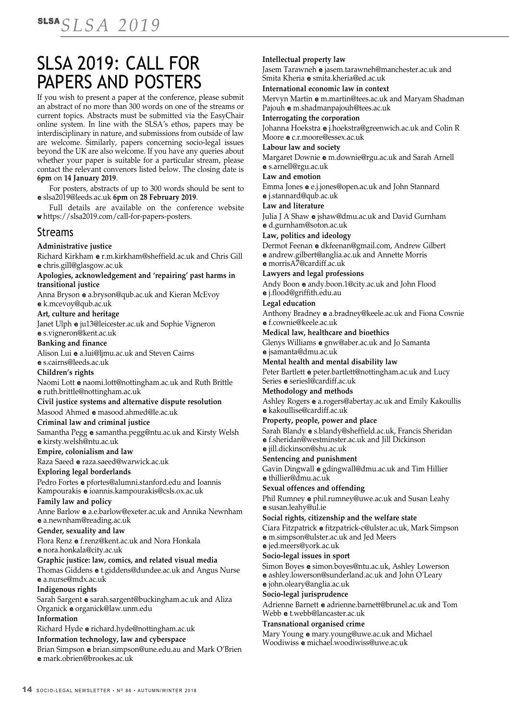## SLSA 2019: CALL For PAPerS And PoSTerS

If you wish to present a paper at the conference, please submit an abstract of no more than 300 words on one of the streams or current topics. Abstracts must be submitted via the EasyChair online system. In line with the SLSA's ethos, papers may be interdisciplinary in nature, and submissions from outside of law are welcome. Similarly, papers concerning socio-legal issues beyond the UK are also welcome. If you have any queries about whether your paper is suitable for a particular stream, please contact the relevant convenors listed below. The closing date is **6pm** on **14 January 2019**.

For posters, abstracts of up to 300 words should be sent to **e** slsa2019@leeds.ac.uk **6pm** on **28 February 2019**.

Full details are available on the conference website **w** https://slsa2019.com/call-for-papers-posters.

## Streams

#### **Administrative justice**

Richard Kirkham **e** r.m.kirkham@sheffield.ac.uk and Chris Gill **e** chris.gill@glasgow.ac.uk

**Apologies, acknowledgement and 'repairing' past harms in transitional justice**

Anna Bryson **e** a.bryson@qub.ac.uk and Kieran McEvoy **e** k.mcevoy@qub.ac.uk

#### **Art, culture and heritage**

Janet Ulph **e** ju13@leicester.ac.uk and Sophie Vigneron **e** s.vigneron@kent.ac.uk

**Banking and finance**

Alison Lui **e** a.lui@ljmu.ac.uk and Steven Cairns **e** s.cairns@leeds.ac.uk

#### **Children's rights**

Naomi Lott **e** naomi.lott@nottingham.ac.uk and Ruth Brittle **e** ruth.brittle@nottingham.ac.uk

**Civil justice systems and alternative dispute resolution**

Masood Ahmed **e** masood.ahmed@le.ac.uk

#### **Criminal law and criminal justice**

Samantha Pegg **e** samantha.pegg@ntu.ac.uk and Kirsty Welsh **e** kirsty.welsh@ntu.ac.uk

**Empire, colonialism and law**

Raza Saeed **e** raza.saeed@warwick.ac.uk

#### **Exploring legal borderlands**

Pedro Fortes **e** pfortes@alumni.stanford.edu and Ioannis Kampourakis **e** ioannis.kampourakis@csls.ox.ac.uk

**Family law and policy**

Anne Barlow **e** a.e.barlow@exeter.ac.uk and Annika Newnham **e** a.newnham@reading.ac.uk

#### **Gender, sexuality and law**

Flora Renz **e** f.renz@kent.ac.uk and Nora Honkala **e** nora.honkala@city.ac.uk

**Graphic justice: law, comics, and related visual media**

Thomas Giddens **e** t.giddens@dundee.ac.uk and Angus Nurse **e** a.nurse@mdx.ac.uk

#### **Indigenous rights**

Sarah Sargent **e** sarah.sargent@buckingham.ac.uk and Aliza Organick **e** organick@law.unm.edu

#### **Information**

Richard Hyde **e** richard.hyde@nottingham.ac.uk

**Information technology, law and cyberspace**

Brian Simpson **e** brian.simpson@une.edu.au and Mark O'Brien **e** mark.obrien@brookes.ac.uk

#### **Intellectual property law**

Jasem Tarawneh **e** jasem.tarawneh@manchester.ac.uk and Smita Kheria **e** smita.kheria@ed.ac.uk

**International economic law in context**

Mervyn Martin **e** m.martin@tees.ac.uk and Maryam Shadman Pajouh **e** m.shadmanpajouh@tees.ac.uk

**Interrogating the corporation**

Johanna Hoekstra **e** j.hoekstra@greenwich.ac.uk and Colin R Moore **e** c.r.moore@essex.ac.uk

#### **Labour law and society**

Margaret Downie **e** m.downie@rgu.ac.uk and Sarah Arnell **e** s.arnell@rgu.ac.uk

#### **Law and emotion**

Emma Jones **e** e.j.jones@open.ac.uk and John Stannard **e** j.stannard@qub.ac.uk

#### **Law and literature**

Julia J A Shaw **e** jshaw@dmu.ac.uk and David Gurnham **e** d.gurnham@soton.ac.uk

#### **Law, politics and ideology**

Dermot Feenan **e** dkfeenan@gmail.com, Andrew Gilbert **e** andrew.gilbert@anglia.ac.uk and Annette Morris **e** morrisA7@cardiff.ac.uk

**Lawyers and legal professions**

Andy Boon **e** andy.boon.1@city.ac.uk and John Flood **e** j.flood@griffith.edu.au

#### **Legal education**

Anthony Bradney **e** a.bradney@keele.ac.uk and Fiona Cownie **e** f.cownie@keele.ac.uk

**Medical law, healthcare and bioethics**

Glenys Williams **e** gnw@aber.ac.uk and Jo Samanta **e** jsamanta@dmu.ac.uk

#### **Mental health and mental disability law**

Peter Bartlett **e** peter.bartlett@nottingham.ac.uk and Lucy Series **e** seriesl@cardiff.ac.uk

#### **Methodology and methods**

Ashley Rogers **e** a.rogers@abertay.ac.uk and Emily Kakoullis **e** kakoullise@cardiff.ac.uk

#### **Property, people, power and place**

Sarah Blandy **e** s.blandy@sheffield.ac.uk, Francis Sheridan

**e** f.sheridan@westminster.ac.uk and Jill Dickinson

#### **e** jill.dickinson@shu.ac.uk

**Sentencing and punishment**

Gavin Dingwall **e** gdingwall@dmu.ac.uk and Tim Hillier **e** thillier@dmu.ac.uk

#### **Sexual offences and offending**

Phil Rumney **e** phil.rumney@uwe.ac.uk and Susan Leahy **e** susan.leahy@ul.ie

#### **Social rights, citizenship and the welfare state**

Ciara Fitzpatrick **e** fitzpatrick-c@ulster.ac.uk, Mark Simpson **e** m.simpson@ulster.ac.uk and Jed Meers

#### **e** jed.meers@york.ac.uk

**Socio-legal issues in sport**

#### Simon Boyes **e** simon.boyes@ntu.ac.uk, Ashley Lowerson **e** ashley.lowerson@sunderland.ac.uk and John O'Leary

**e** john.oleary@anglia.ac.uk

### **Socio-legal jurisprudence**

Adrienne Barnett **e** adrienne.barnett@brunel.ac.uk and Tom Webb **e** t.webb@lancaster.ac.uk

#### **Transnational organised crime**

Mary Young **e** mary.young@uwe.ac.uk and Michael Woodiwiss **e** michael.woodiwiss@uwe.ac.uk